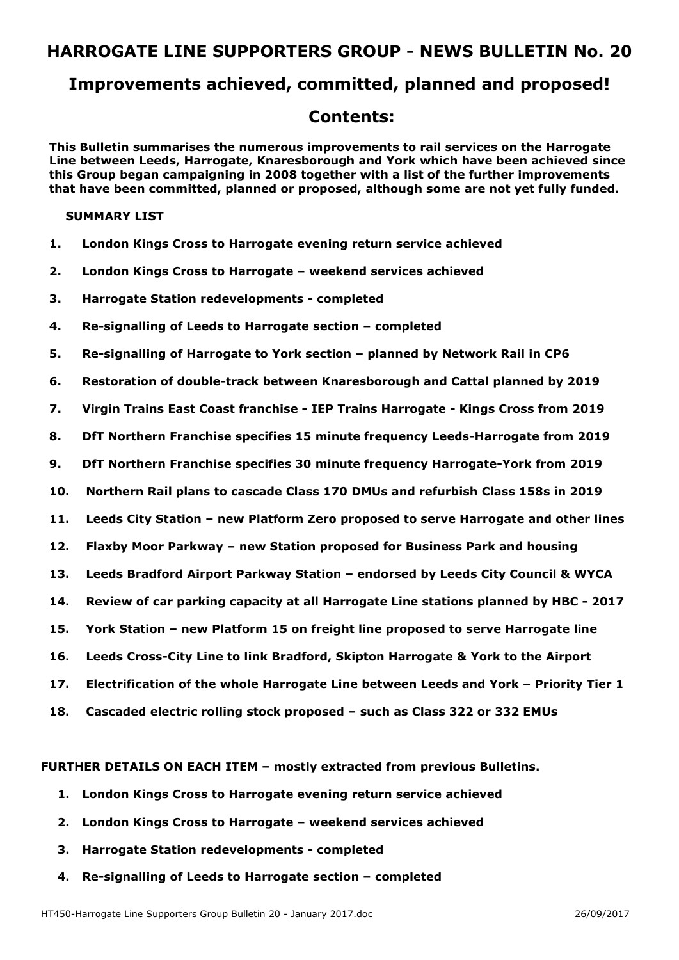## **Improvements achieved, committed, planned and proposed!**

## **Contents:**

**This Bulletin summarises the numerous improvements to rail services on the Harrogate Line between Leeds, Harrogate, Knaresborough and York which have been achieved since this Group began campaigning in 2008 together with a list of the further improvements that have been committed, planned or proposed, although some are not yet fully funded.** 

#### **SUMMARY LIST**

- **1. London Kings Cross to Harrogate evening return service achieved**
- **2. London Kings Cross to Harrogate weekend services achieved**
- **3. Harrogate Station redevelopments completed**
- **4. Re-signalling of Leeds to Harrogate section completed**
- **5. Re-signalling of Harrogate to York section planned by Network Rail in CP6**
- **6. Restoration of double-track between Knaresborough and Cattal planned by 2019**
- **7. Virgin Trains East Coast franchise IEP Trains Harrogate Kings Cross from 2019**
- **8. DfT Northern Franchise specifies 15 minute frequency Leeds-Harrogate from 2019**
- **9. DfT Northern Franchise specifies 30 minute frequency Harrogate-York from 2019**
- **10. Northern Rail plans to cascade Class 170 DMUs and refurbish Class 158s in 2019**
- **11. Leeds City Station new Platform Zero proposed to serve Harrogate and other lines**
- **12. Flaxby Moor Parkway new Station proposed for Business Park and housing**
- **13. Leeds Bradford Airport Parkway Station endorsed by Leeds City Council & WYCA**
- **14. Review of car parking capacity at all Harrogate Line stations planned by HBC 2017**
- **15. York Station new Platform 15 on freight line proposed to serve Harrogate line**
- **16. Leeds Cross-City Line to link Bradford, Skipton Harrogate & York to the Airport**
- **17. Electrification of the whole Harrogate Line between Leeds and York Priority Tier 1**
- **18. Cascaded electric rolling stock proposed such as Class 322 or 332 EMUs**

### **FURTHER DETAILS ON EACH ITEM – mostly extracted from previous Bulletins.**

- **1. London Kings Cross to Harrogate evening return service achieved**
- **2. London Kings Cross to Harrogate weekend services achieved**
- **3. Harrogate Station redevelopments completed**
- **4. Re-signalling of Leeds to Harrogate section completed**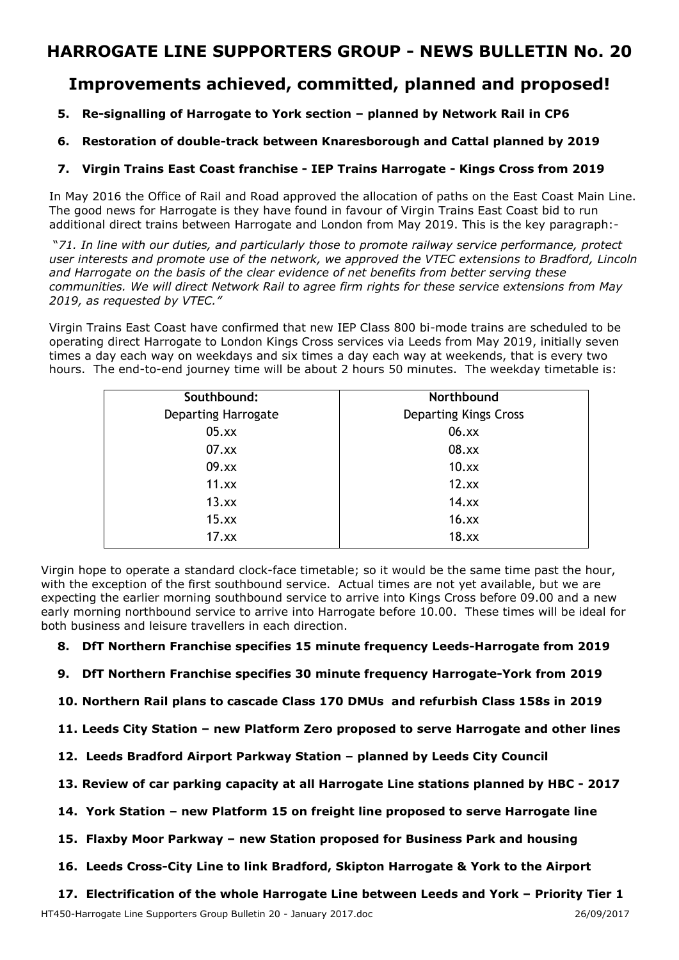## **Improvements achieved, committed, planned and proposed!**

## **5. Re-signalling of Harrogate to York section – planned by Network Rail in CP6**

## **6. Restoration of double-track between Knaresborough and Cattal planned by 2019**

### **7. Virgin Trains East Coast franchise - IEP Trains Harrogate - Kings Cross from 2019**

In May 2016 the Office of Rail and Road approved the allocation of paths on the East Coast Main Line. The good news for Harrogate is they have found in favour of Virgin Trains East Coast bid to run additional direct trains between Harrogate and London from May 2019. This is the key paragraph:-

 "*71. In line with our duties, and particularly those to promote railway service performance, protect user interests and promote use of the network, we approved the VTEC extensions to Bradford, Lincoln and Harrogate on the basis of the clear evidence of net benefits from better serving these communities. We will direct Network Rail to agree firm rights for these service extensions from May 2019, as requested by VTEC."* 

Virgin Trains East Coast have confirmed that new IEP Class 800 bi-mode trains are scheduled to be operating direct Harrogate to London Kings Cross services via Leeds from May 2019, initially seven times a day each way on weekdays and six times a day each way at weekends, that is every two hours. The end-to-end journey time will be about 2 hours 50 minutes. The weekday timetable is:

| Southbound:                | Northbound                   |
|----------------------------|------------------------------|
| <b>Departing Harrogate</b> | <b>Departing Kings Cross</b> |
| 05.xx                      | 06.xx                        |
| 07.xx                      | 08.xx                        |
| 09.xx                      | $10$ . $xx$                  |
| 11.xx                      | 12.xx                        |
| 13.xx                      | 14.xx                        |
| 15.xx                      | 16.xx                        |
| 17.xx                      | 18.xx                        |

Virgin hope to operate a standard clock-face timetable; so it would be the same time past the hour, with the exception of the first southbound service. Actual times are not yet available, but we are expecting the earlier morning southbound service to arrive into Kings Cross before 09.00 and a new early morning northbound service to arrive into Harrogate before 10.00. These times will be ideal for both business and leisure travellers in each direction.

### **8. DfT Northern Franchise specifies 15 minute frequency Leeds-Harrogate from 2019**

- **9. DfT Northern Franchise specifies 30 minute frequency Harrogate-York from 2019**
- **10. Northern Rail plans to cascade Class 170 DMUs and refurbish Class 158s in 2019**
- **11. Leeds City Station new Platform Zero proposed to serve Harrogate and other lines**
- **12. Leeds Bradford Airport Parkway Station planned by Leeds City Council**
- **13. Review of car parking capacity at all Harrogate Line stations planned by HBC 2017**
- **14. York Station new Platform 15 on freight line proposed to serve Harrogate line**
- **15. Flaxby Moor Parkway new Station proposed for Business Park and housing**
- **16. Leeds Cross-City Line to link Bradford, Skipton Harrogate & York to the Airport**

**17. Electrification of the whole Harrogate Line between Leeds and York – Priority Tier 1**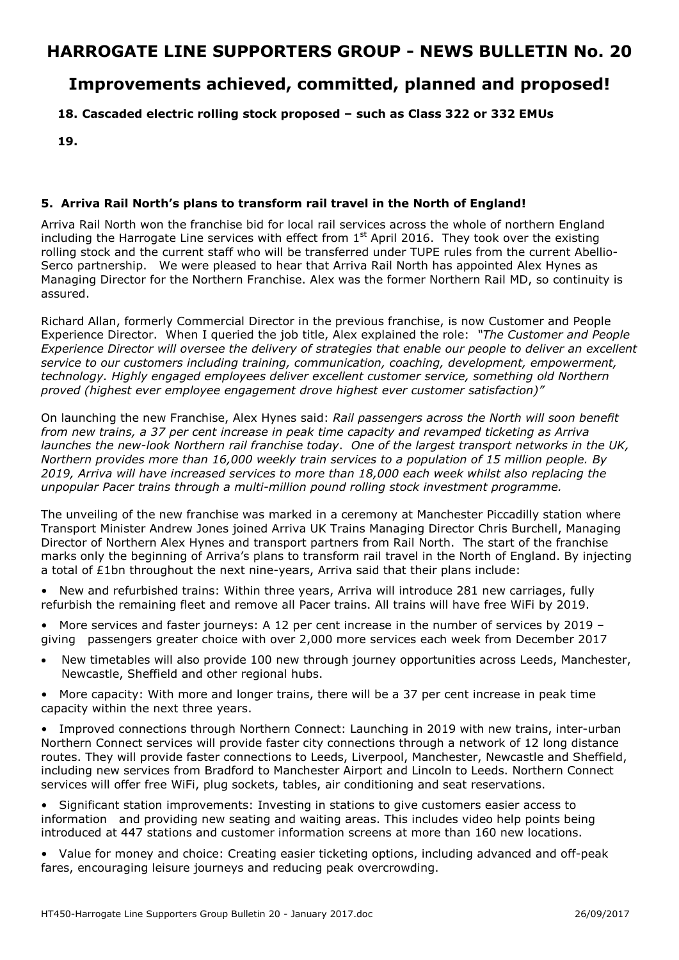# **Improvements achieved, committed, planned and proposed!**

### **18. Cascaded electric rolling stock proposed – such as Class 322 or 332 EMUs**

**19.**

### **5. Arriva Rail North's plans to transform rail travel in the North of England!**

Arriva Rail North won the franchise bid for local rail services across the whole of northern England including the Harrogate Line services with effect from  $1<sup>st</sup>$  April 2016. They took over the existing rolling stock and the current staff who will be transferred under TUPE rules from the current Abellio-Serco partnership. We were pleased to hear that Arriva Rail North has appointed Alex Hynes as Managing Director for the Northern Franchise. Alex was the former Northern Rail MD, so continuity is assured.

Richard Allan, formerly Commercial Director in the previous franchise, is now Customer and People Experience Director. When I queried the job title, Alex explained the role: *"The Customer and People Experience Director will oversee the delivery of strategies that enable our people to deliver an excellent service to our customers including training, communication, coaching, development, empowerment, technology. Highly engaged employees deliver excellent customer service, something old Northern proved (highest ever employee engagement drove highest ever customer satisfaction)"* 

On launching the new Franchise, Alex Hynes said: *Rail passengers across the North will soon benefit from new trains, a 37 per cent increase in peak time capacity and revamped ticketing as Arriva launches the new-look Northern rail franchise today*. *One of the largest transport networks in the UK, Northern provides more than 16,000 weekly train services to a population of 15 million people. By 2019, Arriva will have increased services to more than 18,000 each week whilst also replacing the unpopular Pacer trains through a multi-million pound rolling stock investment programme.*

The unveiling of the new franchise was marked in a ceremony at Manchester Piccadilly station where Transport Minister Andrew Jones joined Arriva UK Trains Managing Director Chris Burchell, Managing Director of Northern Alex Hynes and transport partners from Rail North. The start of the franchise marks only the beginning of Arriva's plans to transform rail travel in the North of England. By injecting a total of £1bn throughout the next nine-years, Arriva said that their plans include:

• New and refurbished trains: Within three years, Arriva will introduce 281 new carriages, fully refurbish the remaining fleet and remove all Pacer trains. All trains will have free WiFi by 2019.

• More services and faster journeys: A 12 per cent increase in the number of services by 2019 – giving passengers greater choice with over 2,000 more services each week from December 2017

- New timetables will also provide 100 new through journey opportunities across Leeds, Manchester, Newcastle, Sheffield and other regional hubs.
- More capacity: With more and longer trains, there will be a 37 per cent increase in peak time capacity within the next three years.

Improved connections through Northern Connect: Launching in 2019 with new trains, inter-urban Northern Connect services will provide faster city connections through a network of 12 long distance routes. They will provide faster connections to Leeds, Liverpool, Manchester, Newcastle and Sheffield, including new services from Bradford to Manchester Airport and Lincoln to Leeds. Northern Connect services will offer free WiFi, plug sockets, tables, air conditioning and seat reservations.

• Significant station improvements: Investing in stations to give customers easier access to information and providing new seating and waiting areas. This includes video help points being introduced at 447 stations and customer information screens at more than 160 new locations.

• Value for money and choice: Creating easier ticketing options, including advanced and off-peak fares, encouraging leisure journeys and reducing peak overcrowding.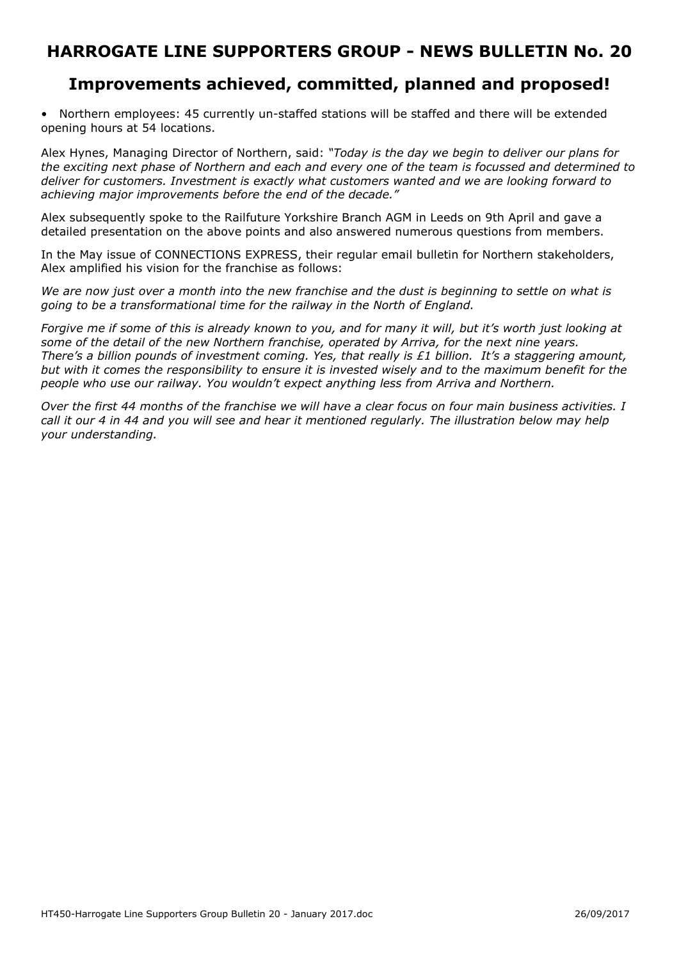## **Improvements achieved, committed, planned and proposed!**

• Northern employees: 45 currently un-staffed stations will be staffed and there will be extended opening hours at 54 locations.

Alex Hynes, Managing Director of Northern, said: *"Today is the day we begin to deliver our plans for the exciting next phase of Northern and each and every one of the team is focussed and determined to deliver for customers. Investment is exactly what customers wanted and we are looking forward to achieving major improvements before the end of the decade."* 

Alex subsequently spoke to the Railfuture Yorkshire Branch AGM in Leeds on 9th April and gave a detailed presentation on the above points and also answered numerous questions from members.

In the May issue of CONNECTIONS EXPRESS, their regular email bulletin for Northern stakeholders, Alex amplified his vision for the franchise as follows:

*We are now just over a month into the new franchise and the dust is beginning to settle on what is going to be a transformational time for the railway in the North of England.*

*Forgive me if some of this is already known to you, and for many it will, but it's worth just looking at some of the detail of the new Northern franchise, operated by Arriva, for the next nine years. There's a billion pounds of investment coming. Yes, that really is £1 billion. It's a staggering amount, but with it comes the responsibility to ensure it is invested wisely and to the maximum benefit for the people who use our railway. You wouldn't expect anything less from Arriva and Northern.* 

*Over the first 44 months of the franchise we will have a clear focus on four main business activities. I call it our 4 in 44 and you will see and hear it mentioned regularly. The illustration below may help your understanding.*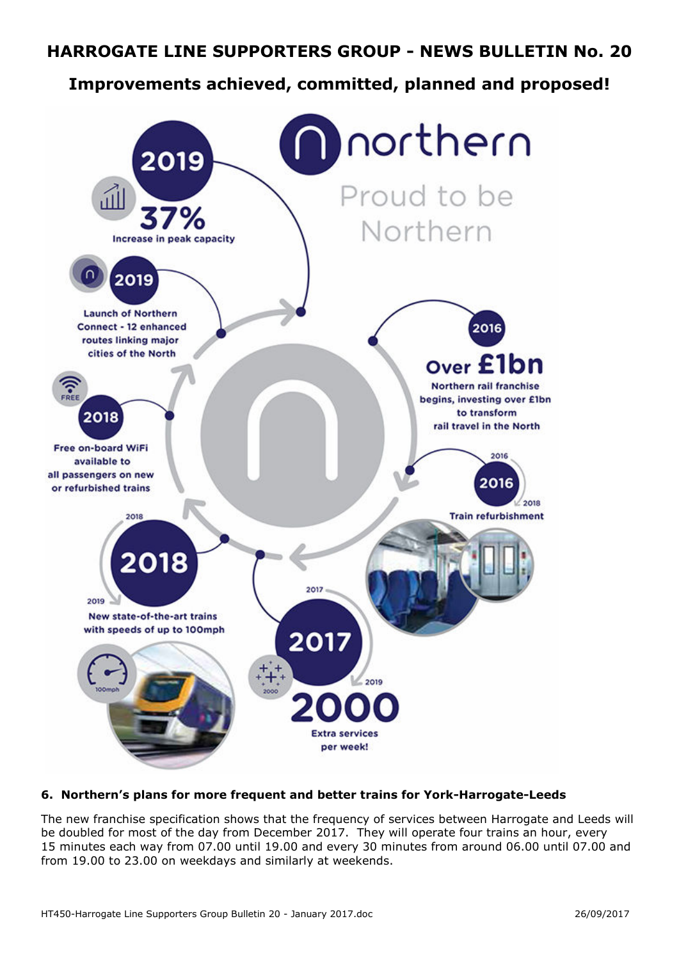# **Improvements achieved, committed, planned and proposed!**



## **6. Northern's plans for more frequent and better trains for York-Harrogate-Leeds**

The new franchise specification shows that the frequency of services between Harrogate and Leeds will be doubled for most of the day from December 2017. They will operate four trains an hour, every 15 minutes each way from 07.00 until 19.00 and every 30 minutes from around 06.00 until 07.00 and from 19.00 to 23.00 on weekdays and similarly at weekends.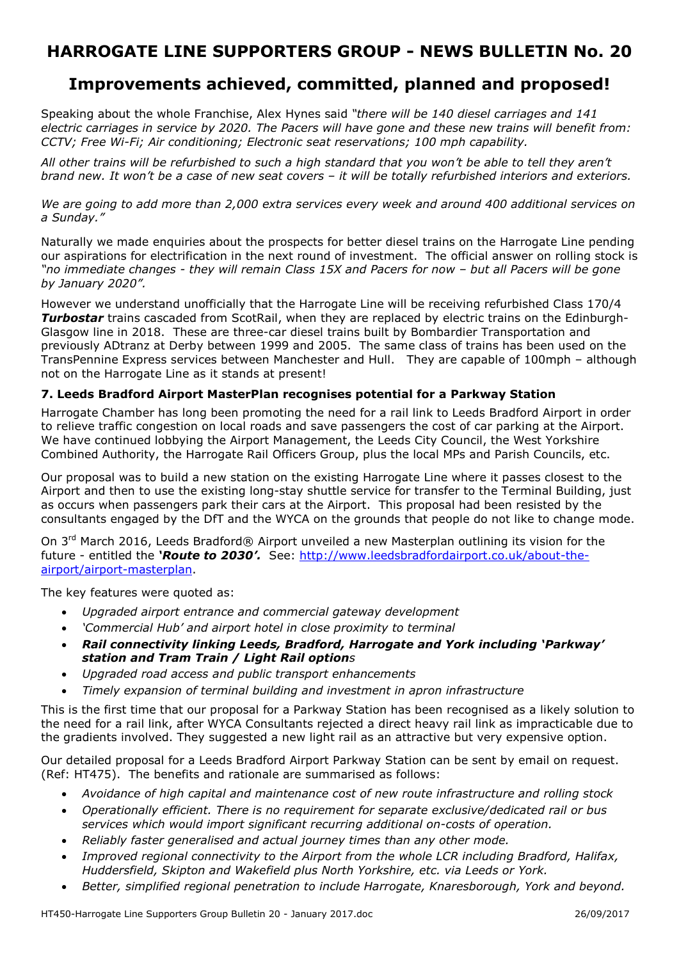# **Improvements achieved, committed, planned and proposed!**

Speaking about the whole Franchise, Alex Hynes said *"there will be 140 diesel carriages and 141 electric carriages in service by 2020. The Pacers will have gone and these new trains will benefit from: CCTV; Free Wi-Fi; Air conditioning; Electronic seat reservations; 100 mph capability.* 

*All other trains will be refurbished to such a high standard that you won't be able to tell they aren't brand new. It won't be a case of new seat covers – it will be totally refurbished interiors and exteriors.* 

*We are going to add more than 2,000 extra services every week and around 400 additional services on a Sunday."*

Naturally we made enquiries about the prospects for better diesel trains on the Harrogate Line pending our aspirations for electrification in the next round of investment. The official answer on rolling stock is *"no immediate changes - they will remain Class 15X and Pacers for now – but all Pacers will be gone by January 2020".* 

However we understand unofficially that the Harrogate Line will be receiving refurbished Class 170/4 *Turbostar* trains cascaded from ScotRail, when they are replaced by electric trains on the Edinburgh-Glasgow line in 2018. These are three-car diesel trains built by Bombardier Transportation and previously ADtranz at Derby between 1999 and 2005. The same class of trains has been used on the TransPennine Express services between Manchester and Hull. They are capable of 100mph – although not on the Harrogate Line as it stands at present!

### **7. Leeds Bradford Airport MasterPlan recognises potential for a Parkway Station**

Harrogate Chamber has long been promoting the need for a rail link to Leeds Bradford Airport in order to relieve traffic congestion on local roads and save passengers the cost of car parking at the Airport. We have continued lobbying the Airport Management, the Leeds City Council, the West Yorkshire Combined Authority, the Harrogate Rail Officers Group, plus the local MPs and Parish Councils, etc.

Our proposal was to build a new station on the existing Harrogate Line where it passes closest to the Airport and then to use the existing long-stay shuttle service for transfer to the Terminal Building, just as occurs when passengers park their cars at the Airport. This proposal had been resisted by the consultants engaged by the DfT and the WYCA on the grounds that people do not like to change mode.

On 3<sup>rd</sup> March 2016, Leeds Bradford® Airport unveiled a new Masterplan outlining its vision for the future - entitled the *'Route to 2030'.* See: http://www.leedsbradfordairport.co.uk/about-theairport/airport-masterplan.

The key features were quoted as:

- *Upgraded airport entrance and commercial gateway development*
- *'Commercial Hub' and airport hotel in close proximity to terminal*
- *Rail connectivity linking Leeds, Bradford, Harrogate and York including 'Parkway' station and Tram Train / Light Rail options*
- *Upgraded road access and public transport enhancements*
- *Timely expansion of terminal building and investment in apron infrastructure*

This is the first time that our proposal for a Parkway Station has been recognised as a likely solution to the need for a rail link, after WYCA Consultants rejected a direct heavy rail link as impracticable due to the gradients involved. They suggested a new light rail as an attractive but very expensive option.

Our detailed proposal for a Leeds Bradford Airport Parkway Station can be sent by email on request. (Ref: HT475). The benefits and rationale are summarised as follows:

- *Avoidance of high capital and maintenance cost of new route infrastructure and rolling stock*
- *Operationally efficient. There is no requirement for separate exclusive/dedicated rail or bus services which would import significant recurring additional on-costs of operation.*
- *Reliably faster generalised and actual journey times than any other mode.*
- *Improved regional connectivity to the Airport from the whole LCR including Bradford, Halifax, Huddersfield, Skipton and Wakefield plus North Yorkshire, etc. via Leeds or York.*
- *Better, simplified regional penetration to include Harrogate, Knaresborough, York and beyond.*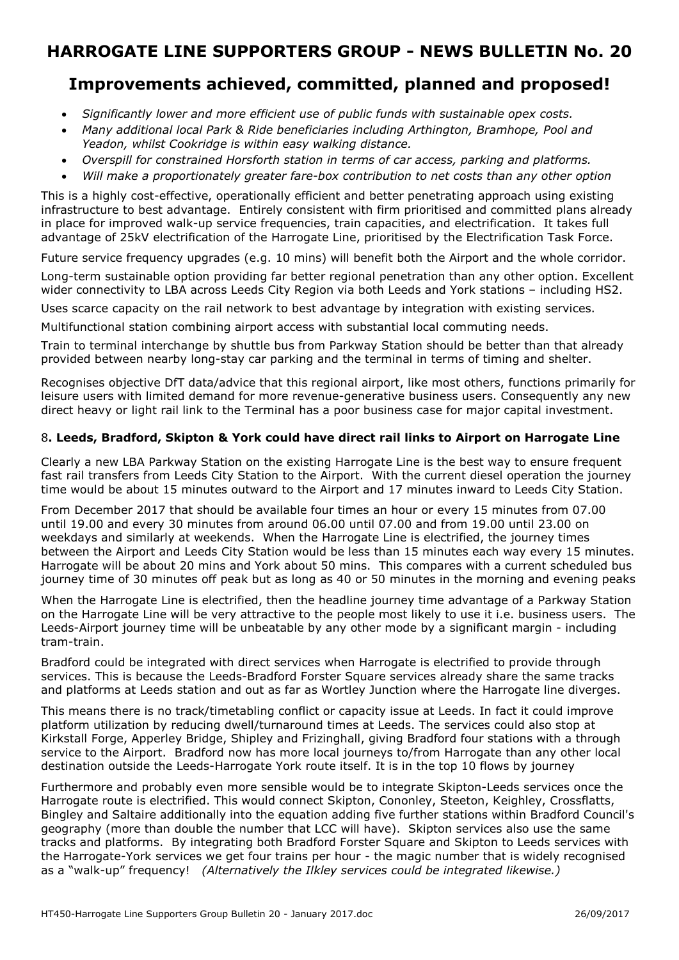## **Improvements achieved, committed, planned and proposed!**

- *Significantly lower and more efficient use of public funds with sustainable opex costs.*
- *Many additional local Park & Ride beneficiaries including Arthington, Bramhope, Pool and Yeadon, whilst Cookridge is within easy walking distance.*
- *Overspill for constrained Horsforth station in terms of car access, parking and platforms.*
- *Will make a proportionately greater fare-box contribution to net costs than any other option*

This is a highly cost-effective, operationally efficient and better penetrating approach using existing infrastructure to best advantage. Entirely consistent with firm prioritised and committed plans already in place for improved walk-up service frequencies, train capacities, and electrification. It takes full advantage of 25kV electrification of the Harrogate Line, prioritised by the Electrification Task Force.

Future service frequency upgrades (e.g. 10 mins) will benefit both the Airport and the whole corridor. Long-term sustainable option providing far better regional penetration than any other option. Excellent wider connectivity to LBA across Leeds City Region via both Leeds and York stations – including HS2.

Uses scarce capacity on the rail network to best advantage by integration with existing services.

Multifunctional station combining airport access with substantial local commuting needs.

Train to terminal interchange by shuttle bus from Parkway Station should be better than that already provided between nearby long-stay car parking and the terminal in terms of timing and shelter.

Recognises objective DfT data/advice that this regional airport, like most others, functions primarily for leisure users with limited demand for more revenue-generative business users. Consequently any new direct heavy or light rail link to the Terminal has a poor business case for major capital investment.

### 8**. Leeds, Bradford, Skipton & York could have direct rail links to Airport on Harrogate Line**

Clearly a new LBA Parkway Station on the existing Harrogate Line is the best way to ensure frequent fast rail transfers from Leeds City Station to the Airport. With the current diesel operation the journey time would be about 15 minutes outward to the Airport and 17 minutes inward to Leeds City Station.

From December 2017 that should be available four times an hour or every 15 minutes from 07.00 until 19.00 and every 30 minutes from around 06.00 until 07.00 and from 19.00 until 23.00 on weekdays and similarly at weekends. When the Harrogate Line is electrified, the journey times between the Airport and Leeds City Station would be less than 15 minutes each way every 15 minutes. Harrogate will be about 20 mins and York about 50 mins. This compares with a current scheduled bus journey time of 30 minutes off peak but as long as 40 or 50 minutes in the morning and evening peaks

When the Harrogate Line is electrified, then the headline journey time advantage of a Parkway Station on the Harrogate Line will be very attractive to the people most likely to use it i.e. business users. The Leeds-Airport journey time will be unbeatable by any other mode by a significant margin - including tram-train.

Bradford could be integrated with direct services when Harrogate is electrified to provide through services. This is because the Leeds-Bradford Forster Square services already share the same tracks and platforms at Leeds station and out as far as Wortley Junction where the Harrogate line diverges.

This means there is no track/timetabling conflict or capacity issue at Leeds. In fact it could improve platform utilization by reducing dwell/turnaround times at Leeds. The services could also stop at Kirkstall Forge, Apperley Bridge, Shipley and Frizinghall, giving Bradford four stations with a through service to the Airport. Bradford now has more local journeys to/from Harrogate than any other local destination outside the Leeds-Harrogate York route itself. It is in the top 10 flows by journey

Furthermore and probably even more sensible would be to integrate Skipton-Leeds services once the Harrogate route is electrified. This would connect Skipton, Cononley, Steeton, Keighley, Crossflatts, Bingley and Saltaire additionally into the equation adding five further stations within Bradford Council's geography (more than double the number that LCC will have). Skipton services also use the same tracks and platforms. By integrating both Bradford Forster Square and Skipton to Leeds services with the Harrogate-York services we get four trains per hour - the magic number that is widely recognised as a "walk-up" frequency! *(Alternatively the Ilkley services could be integrated likewise.)*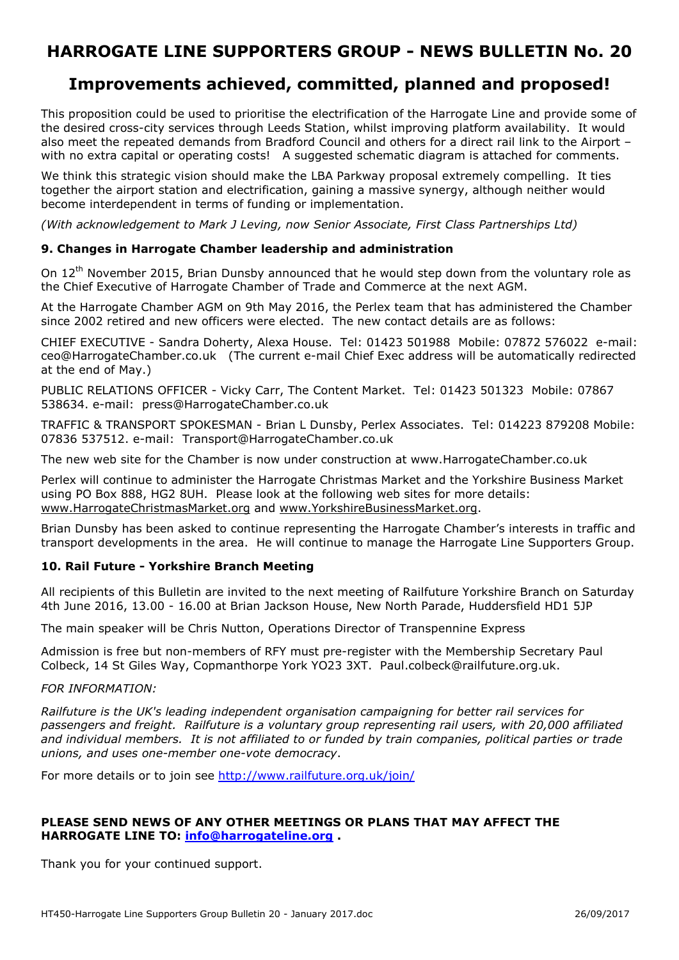## **Improvements achieved, committed, planned and proposed!**

This proposition could be used to prioritise the electrification of the Harrogate Line and provide some of the desired cross-city services through Leeds Station, whilst improving platform availability. It would also meet the repeated demands from Bradford Council and others for a direct rail link to the Airport – with no extra capital or operating costs! A suggested schematic diagram is attached for comments.

We think this strategic vision should make the LBA Parkway proposal extremely compelling. It ties together the airport station and electrification, gaining a massive synergy, although neither would become interdependent in terms of funding or implementation.

*(With acknowledgement to Mark J Leving, now Senior Associate, First Class Partnerships Ltd)* 

### **9. Changes in Harrogate Chamber leadership and administration**

On 12<sup>th</sup> November 2015, Brian Dunsby announced that he would step down from the voluntary role as the Chief Executive of Harrogate Chamber of Trade and Commerce at the next AGM.

At the Harrogate Chamber AGM on 9th May 2016, the Perlex team that has administered the Chamber since 2002 retired and new officers were elected. The new contact details are as follows:

CHIEF EXECUTIVE - Sandra Doherty, Alexa House. Tel: 01423 501988 Mobile: 07872 576022 e-mail: ceo@HarrogateChamber.co.uk (The current e-mail Chief Exec address will be automatically redirected at the end of May.)

PUBLIC RELATIONS OFFICER - Vicky Carr, The Content Market. Tel: 01423 501323 Mobile: 07867 538634. e-mail: press@HarrogateChamber.co.uk

TRAFFIC & TRANSPORT SPOKESMAN - Brian L Dunsby, Perlex Associates. Tel: 014223 879208 Mobile: 07836 537512. e-mail: Transport@HarrogateChamber.co.uk

The new web site for the Chamber is now under construction at www.HarrogateChamber.co.uk

Perlex will continue to administer the Harrogate Christmas Market and the Yorkshire Business Market using PO Box 888, HG2 8UH. Please look at the following web sites for more details: www.HarrogateChristmasMarket.org and www.YorkshireBusinessMarket.org.

Brian Dunsby has been asked to continue representing the Harrogate Chamber's interests in traffic and transport developments in the area. He will continue to manage the Harrogate Line Supporters Group.

### **10. Rail Future - Yorkshire Branch Meeting**

All recipients of this Bulletin are invited to the next meeting of Railfuture Yorkshire Branch on Saturday 4th June 2016, 13.00 - 16.00 at Brian Jackson House, New North Parade, Huddersfield HD1 5JP

The main speaker will be Chris Nutton, Operations Director of Transpennine Express

Admission is free but non-members of RFY must pre-register with the Membership Secretary Paul Colbeck, 14 St Giles Way, Copmanthorpe York YO23 3XT. Paul.colbeck@railfuture.org.uk.

### *FOR INFORMATION:*

*Railfuture is the UK's leading independent organisation campaigning for better rail services for passengers and freight. Railfuture is a voluntary group representing rail users, with 20,000 affiliated and individual members. It is not affiliated to or funded by train companies, political parties or trade unions, and uses one-member one-vote democracy*.

For more details or to join see http://www.railfuture.org.uk/join/

### **PLEASE SEND NEWS OF ANY OTHER MEETINGS OR PLANS THAT MAY AFFECT THE HARROGATE LINE TO: info@harrogateline.org .**

Thank you for your continued support.